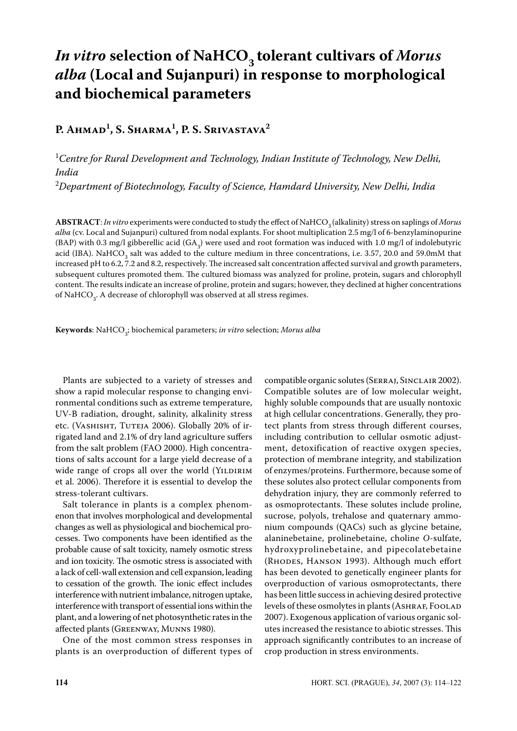# *In vitro* selection of NaHCO<sub>3</sub> tolerant cultivars of *Morus alba* **(Local and Sujanpuri) in response to morphological and biochemical parameters**

# **P. Ahmad1 , S. Sharma1 , P. S. Srivastava2**

1 *Centre for Rural Development and Technology, Indian Institute of Technology, New Delhi, India*

2 *Department of Biotechnology, Faculty of Science, Hamdard University, New Delhi, India*

ABSTRACT: *In vitro* experiments were conducted to study the effect of NaHCO<sub>3</sub> (alkalinity) stress on saplings of *Morus alba* (cv. Local and Sujanpuri) cultured from nodal explants. For shoot multiplication 2.5 mg/l of 6-benzylaminopurine (BAP) with 0.3 mg/l gibberellic acid (GA<sub>3</sub>) were used and root formation was induced with 1.0 mg/l of indolebutyric acid (IBA). NaHCO<sub>3</sub> salt was added to the culture medium in three concentrations, i.e. 3.57, 20.0 and 59.0mM that increased pH to 6.2, 7.2 and 8.2, respectively. The increased salt concentration affected survival and growth parameters, subsequent cultures promoted them. The cultured biomass was analyzed for proline, protein, sugars and chlorophyll content. The results indicate an increase of proline, protein and sugars; however, they declined at higher concentrations of NaHCO $_3$ . A decrease of chlorophyll was observed at all stress regimes.

**Keywords**: NaHCO3 ; biochemical parameters; *in vitro* selection; *Morus alba*

Plants are subjected to a variety of stresses and show a rapid molecular response to changing environmental conditions such as extreme temperature, UV-B radiation, drought, salinity, alkalinity stress etc. (VASHISHT, TUTEJA 2006). Globally 20% of irrigated land and 2.1% of dry land agriculture suffers from the salt problem (FAO 2000). High concentrations of salts account for a large yield decrease of a wide range of crops all over the world (YILDIRIM et al. 2006). Therefore it is essential to develop the stress-tolerant cultivars.

Salt tolerance in plants is a complex phenomenon that involves morphological and developmental changes as well as physiological and biochemical processes. Two components have been identified as the probable cause of salt toxicity, namely osmotic stress and ion toxicity. The osmotic stress is associated with a lack of cell-wall extension and cell expansion, leading to cessation of the growth. The ionic effect includes interference with nutrient imbalance, nitrogen uptake, interference with transport of essential ions within the plant, and a lowering of net photosynthetic rates in the affected plants (Greenway, Munns 1980).

One of the most common stress responses in plants is an overproduction of different types of compatible organic solutes (Serraj, Sinclair 2002). Compatible solutes are of low molecular weight, highly soluble compounds that are usually nontoxic at high cellular concentrations. Generally, they protect plants from stress through different courses, including contribution to cellular osmotic adjustment, detoxification of reactive oxygen species, protection of membrane integrity, and stabilization of enzymes/proteins. Furthermore, because some of these solutes also protect cellular components from dehydration injury, they are commonly referred to as osmoprotectants. These solutes include proline, sucrose, polyols, trehalose and quaternary ammonium compounds (QACs) such as glycine betaine, alaninebetaine, prolinebetaine, choline *O*-sulfate, hydroxyprolinebetaine, and pipecolatebetaine (Rhodes, Hanson 1993). Although much effort has been devoted to genetically engineer plants for overproduction of various osmoprotectants, there has been little success in achieving desired protective levels of these osmolytes in plants (ASHRAF, FOOLAD 2007). Exogenous application of various organic solutes increased the resistance to abiotic stresses. This approach significantly contributes to an increase of crop production in stress environments.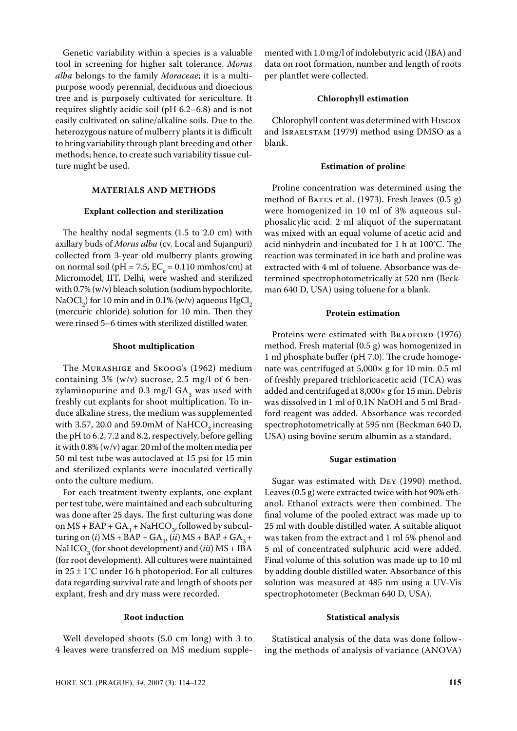Genetic variability within a species is a valuable tool in screening for higher salt tolerance. *Morus alba* belongs to the family *Moraceae*; it is a multipurpose woody perennial, deciduous and dioecious tree and is purposely cultivated for sericulture. It requires slightly acidic soil (pH 6.2–6.8) and is not easily cultivated on saline/alkaline soils. Due to the heterozygous nature of mulberry plants it is difficult to bring variability through plant breeding and other methods; hence, to create such variability tissue culture might be used.

#### **MATERIALS AND METHODS**

#### **Explant collection and sterilization**

The healthy nodal segments (1.5 to 2.0 cm) with axillary buds of *Morus alba* (cv. Local and Sujanpuri) collected from 3-year old mulberry plants growing on normal soil (pH = 7.5,  $EC_e = 0.110$  mmhos/cm) at Micromodel, IIT, Delhi, were washed and sterilized with 0.7% (w/v) bleach solution (sodium hypochlorite, NaOCl<sub>2</sub>) for 10 min and in 0.1% (w/v) aqueous  $HgCl_2$ (mercuric chloride) solution for 10 min. Then they were rinsed 5–6 times with sterilized distilled water.

# **Shoot multiplication**

The Murashige and Skoog's (1962) medium containing  $3\%$  (w/v) sucrose,  $2.5 \text{ mg/l}$  of 6 benzylaminopurine and  $0.3 \text{ mg/l}$  GA<sub>3</sub> was used with freshly cut explants for shoot multiplication. To induce alkaline stress, the medium was supplemented with 3.57, 20.0 and 59.0mM of NaHCO<sub>3</sub> increasing the pH to 6.2, 7.2 and 8.2, respectively, before gelling it with 0.8% (w/v) agar. 20 ml of the molten media per 50 ml test tube was autoclaved at 15 psi for 15 min and sterilized explants were inoculated vertically onto the culture medium.

For each treatment twenty explants, one explant per test tube, were maintained and each subculturing was done after 25 days. The first culturing was done on MS + BAP + GA<sub>3</sub> + NaHCO<sub>3</sub>, followed by subculturing on (*i*) MS + BAP + GA<sub>3</sub>, (*ii*) MS + BAP + GA<sub>3</sub> + NaHCO<sub>3</sub> (for shoot development) and (*iii*) MS + IBA (for root development). All cultures were maintained in  $25 \pm 1$ °C under 16 h photoperiod. For all cultures data regarding survival rate and length of shoots per explant, fresh and dry mass were recorded.

# **Root induction**

Well developed shoots (5.0 cm long) with 3 to 4 leaves were transferred on MS medium supplemented with 1.0 mg/l of indolebutyric acid (IBA) and data on root formation, number and length of roots per plantlet were collected.

#### **Chlorophyll estimation**

Chlorophyll content was determined with Hiscox and Israelstam (1979) method using DMSO as a blank.

# **Estimation of proline**

Proline concentration was determined using the method of BATES et al.  $(1973)$ . Fresh leaves  $(0.5 g)$ were homogenized in 10 ml of 3% aqueous sulphosalicylic acid. 2 ml aliquot of the supernatant was mixed with an equal volume of acetic acid and acid ninhydrin and incubated for 1 h at 100°C. The reaction was terminated in ice bath and proline was extracted with 4 ml of toluene. Absorbance was determined spectrophotometrically at 520 nm (Beckman 640 D, USA) using toluene for a blank.

# **Protein estimation**

Proteins were estimated with BRADFORD (1976) method. Fresh material (0.5 g) was homogenized in 1 ml phosphate buffer (pH 7.0). The crude homogenate was centrifuged at 5,000× g for 10 min. 0.5 ml of freshly prepared trichloricacetic acid (TCA) was added and centrifuged at 8,000× g for 15 min. Debris was dissolved in 1 ml of 0.1N NaOH and 5 ml Bradford reagent was added. Absorbance was recorded spectrophotometrically at 595 nm (Beckman 640 D, USA) using bovine serum albumin as a standard.

#### **Sugar estimation**

Sugar was estimated with Dey (1990) method. Leaves (0.5 g) were extracted twice with hot 90% ethanol. Ethanol extracts were then combined. The final volume of the pooled extract was made up to 25 ml with double distilled water. A suitable aliquot was taken from the extract and 1 ml 5% phenol and 5 ml of concentrated sulphuric acid were added. Final volume of this solution was made up to 10 ml by adding double distilled water. Absorbance of this solution was measured at 485 nm using a UV-Vis spectrophotometer (Beckman 640 D, USA).

#### **Statistical analysis**

Statistical analysis of the data was done following the methods of analysis of variance (ANOVA)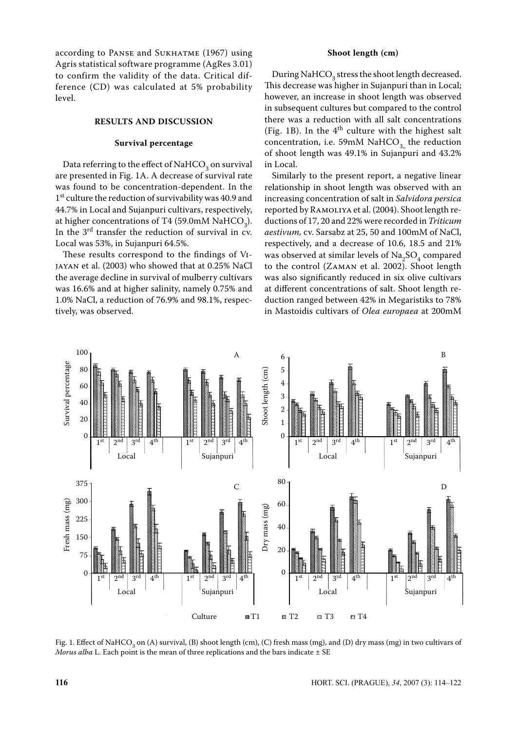according to PANSE and SUKHATME (1967) using Agris statistical software programme (AgRes 3.01) to confirm the validity of the data. Critical difference (CD) was calculated at 5% probability level.

#### **RESULTS AND DISCUSSION**

#### **Survival percentage**

Data referring to the effect of NaHCO<sub>3</sub> on survival are presented in Fig. 1A. A decrease of survival rate was found to be concentration-dependent. In the 1<sup>st</sup> culture the reduction of survivability was 40.9 and 44.7% in Local and Sujanpuri cultivars, respectively, at higher concentrations of T4 (59.0mM NaHCO<sub>3</sub>). In the 3rd transfer the reduction of survival in cv. Local was 53%, in Sujanpuri 64.5%.

These results correspond to the findings of Vijayan et al. (2003) who showed that at 0.25% NaCl the average decline in survival of mulberry cultivars was 16.6% and at higher salinity, namely 0.75% and 1.0% NaCl, a reduction of 76.9% and 98.1%, respectively, was observed.

# **Shoot length (cm)**

During NaHCO<sub>3</sub> stress the shoot length decreased. This decrease was higher in Sujanpuri than in Local; however, an increase in shoot length was observed in subsequent cultures but compared to the control there was a reduction with all salt concentrations (Fig. 1B). In the  $4<sup>th</sup>$  culture with the highest salt concentration, i.e. 59mM NaHCO<sub>3</sub> the reduction of shoot length was 49.1% in Sujanpuri and 43.2% in Local.

Similarly to the present report, a negative linear relationship in shoot length was observed with an increasing concentration of salt in *Salvidora persica* reported by Ramoliya et al. (2004). Shoot length reductions of 17, 20 and 22% were recorded in *Triticum aestivum,* cv. Sarsabz at 25, 50 and 100mM of NaCl, respectively, and a decrease of 10.6, 18.5 and 21% was observed at similar levels of  $\text{Na}_2\text{SO}_4$  compared to the control (Zaman et al. 2002). Shoot length was also significantly reduced in six olive cultivars at different concentrations of salt. Shoot length reduction ranged between 42% in Megaristiks to 78% in Mastoidis cultivars of *Olea europaea* at 200mM



Fig. 1. Effect of NaHCO<sub>3</sub> on (A) survival, (B) shoot length (cm), (C) fresh mass (mg), and (D) dry mass (mg) in two cultivars of *Morus alba* L. Each point is the mean of three replications and the bars indicate  $\pm$  SE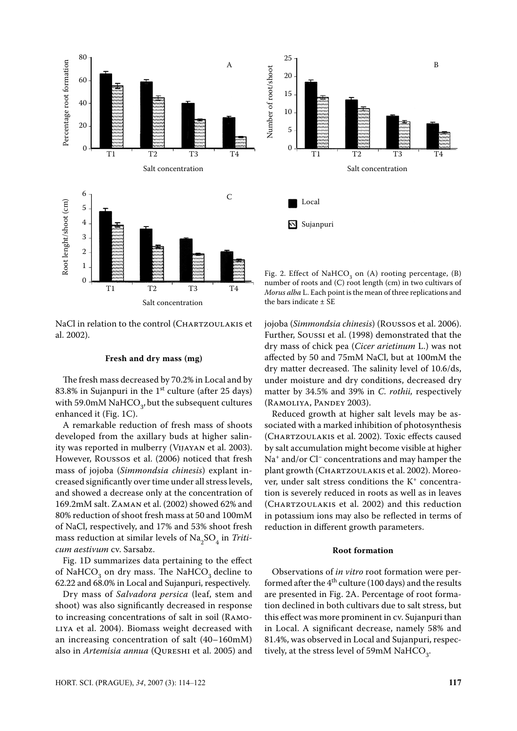

NaCl in relation to the control (CHARTZOULAKIS et al. 2002).

#### **Fresh and dry mass (mg)**

The fresh mass decreased by 70.2% in Local and by 83.8% in Sujanpuri in the  $1<sup>st</sup>$  culture (after 25 days) with 59.0mM NaHCO<sub>3</sub>, but the subsequent cultures enhanced it (Fig. 1C).

A remarkable reduction of fresh mass of shoots developed from the axillary buds at higher salinity was reported in mulberry (Vijayan et al. 2003). However, Roussos et al. (2006) noticed that fresh mass of jojoba (*Simmondsia chinesis*) explant increased significantly over time under all stress levels, and showed a decrease only at the concentration of 169.2mM salt. Zaman et al. (2002) showed 62% and 80% reduction of shoot fresh mass at 50 and 100mM of NaCl, respectively, and 17% and 53% shoot fresh mass reduction at similar levels of  $\text{Na}_2\text{SO}_4$  in *Triticum aestivum* cv. Sarsabz.

Fig. 1D summarizes data pertaining to the effect of NaHCO<sub>3</sub> on dry mass. The NaHCO<sub>3</sub> decline to 62.22 and 68.0% in Local and Sujanpuri, respectively.

Dry mass of *Salvadora persica* (leaf, stem and shoot) was also significantly decreased in response to increasing concentrations of salt in soil (Ramo-LIYA et al. 2004). Biomass weight decreased with an increasing concentration of salt (40–160mM) also in *Artemisia annua* (Qureshi et al. 2005) and



Fig. 2. Effect of NaHCO<sub>3</sub> on (A) rooting percentage, (B) number of roots and (C) root length (cm) in two cultivars of *Morus alba* L. Each point is the mean of three replications and the bars indicate ± SE

jojoba (*Simmondsia chinesis*) (Roussos et al. 2006). Further, Soussi et al. (1998) demonstrated that the dry mass of chick pea (*Cicer arietinum* L.) was not affected by 50 and 75mM NaCl, but at 100mM the dry matter decreased. The salinity level of 10.6/ds, under moisture and dry conditions, decreased dry matter by 34.5% and 39% in *C. rothii,* respectively (Ramoliya, Pandey 2003).

Reduced growth at higher salt levels may be associated with a marked inhibition of photosynthesis (Chartzoulakis et al. 2002). Toxic effects caused by salt accumulation might become visible at higher Na<sup>+</sup> and/or Cl<sup>–</sup> concentrations and may hamper the plant growth (CHARTZOULAKIS et al. 2002). Moreover, under salt stress conditions the  $K^+$  concentration is severely reduced in roots as well as in leaves (Chartzoulakis et al. 2002) and this reduction in potassium ions may also be reflected in terms of reduction in different growth parameters.

#### **Root formation**

Observations of *in vitro* root formation were performed after the  $4<sup>th</sup>$  culture (100 days) and the results are presented in Fig. 2A. Percentage of root formation declined in both cultivars due to salt stress, but this effect was more prominent in cv. Sujanpuri than in Local. A significant decrease, namely 58% and 81.4%, was observed in Local and Sujanpuri, respectively, at the stress level of 59mM  $\mathrm{NaHCO}_{3}$ .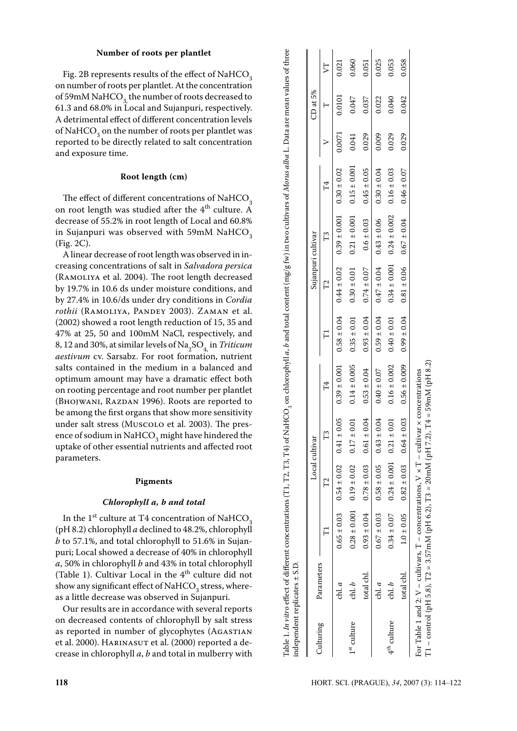# **Number of roots per plantlet**

Fig. 2B represents results of the effect of NaHCO<sub>3</sub> on number of roots per plantlet. At the concentration of 59mM NaHCO<sub>3</sub> the number of roots decreased to 61.3 and 68.0% in Local and Sujanpuri, respectively. A detrimental effect of different concentration levels of NaHCO<sub>3</sub> on the number of roots per plantlet was reported to be directly related to salt concentration and exposure time.

# **Root length (cm)**

The effect of different concentrations of  $\mathrm{NaHCO}_{3}$ on root length was studied after the  $4<sup>th</sup>$  culture. A decrease of 55.2% in root length of Local and 60.8% in Sujanpuri was observed with 59mM NaHCO<sub>2</sub> (Fig. 2C).

A linear decrease of root length was observed in increasing concentrations of salt in *Salvadora persica* (Ramoliya et al. 2004). The root length decreased by 19.7% in 10.6 ds under moisture conditions, and by 27.4% in 10.6/ds under dry conditions in *Cordia*  rothii (RAMOLIYA, PANDEY 2003). ZAMAN et al. (2002) showed a root length reduction of 15, 35 and 47% at 25, 50 and 100mM NaCl, respectively, and 8, 12 and 30%, at similar levels of  $\text{Na}_2\text{SO}_4$ , in *Triticum aestivum* cv. Sarsabz. For root formation, nutrient salts contained in the medium in a balanced and optimum amount may have a dramatic effect both on rooting percentage and root number per plantlet (Bhojwani, Razdan 1996). Roots are reported to be among the first organs that show more sensitivity under salt stress (Muscolo et al. 2003). The presence of sodium in NaHCO<sub>3</sub> might have hindered the uptake of other essential nutrients and affected root parameters.

#### **Pigments**

# *Chlorophyll a, b and total*

In the  $1<sup>st</sup>$  culture at T4 concentration of NaHCO<sub>3</sub> (pH 8.2) chlorophyll *a* declined to 48.2%, chlorophyll *b* to 57.1%, and total chlorophyll to 51.6% in Sujanpuri; Local showed a decrease of 40% in chlorophyll *a*, 50% in chlorophyll *b* and 43% in total chlorophyll (Table 1). Cultivar Local in the  $4<sup>th</sup>$  culture did not show any significant effect of NaHCO<sub>3</sub> stress, whereas a little decrease was observed in Sujanpuri.

Our results are in accordance with several reports on decreased contents of chlorophyll by salt stress as reported in number of glycophytes (AGASTIAN et al. 2000). HARINASUT et al. (2000) reported a decrease in chlorophyll *a*, *b* and total in mulberry with

|                         | independent replicates $\pm$ S.D. |                                                  |                                                 |                                                                                                 |                 |                    |                                                   |                 |        |          |       |
|-------------------------|-----------------------------------|--------------------------------------------------|-------------------------------------------------|-------------------------------------------------------------------------------------------------|-----------------|--------------------|---------------------------------------------------|-----------------|--------|----------|-------|
|                         |                                   |                                                  | Local cultivar                                  |                                                                                                 |                 | Sujanpuri cultivar |                                                   |                 |        | CD at 5% |       |
| Culturing               | Parameters                        |                                                  | T3                                              | H,                                                                                              |                 |                    |                                                   | H,              |        |          | VT    |
|                         | $\mathop{\mathrm{ch}}\nolimits_a$ |                                                  | $0.65 \pm 0.03$ $0.54 \pm 0.02$ $0.41 \pm 0.05$ | $0.39 \pm 0.001$                                                                                | $0.58 \pm 0.04$ |                    | $0.44 \pm 0.02$ $0.39 \pm 0.001$ $0.30 \pm 0.02$  |                 | 0.0071 | 0.0101   | 0.021 |
| 1 <sup>st</sup> culture | chl. b                            | $0.28 \pm 0.001$ $0.19 \pm 0.02$                 | 0.01<br>$0.17 \pm 0$                            | $0.14 \pm 0.005$                                                                                | $0.35 \pm 0.01$ |                    | $0.30 \pm 0.01$ $0.21 \pm 0.001$ $0.15 \pm 0.001$ |                 | 0.041  | 0.047    | 0.060 |
|                         | total chl.                        | $0.93 \pm 0.04$ $0.78 \pm 0.03$ $0.61 \pm 0.03$  |                                                 | $0.04$ $0.53 \pm 0.04$ $0.93 \pm 0.04$ $0.07 + 0.07$ $0.6 \pm 0.03$ $0.61 + 0.05$ $0.05 + 0.05$ |                 |                    |                                                   |                 | 0.029  | 0.037    | 0.051 |
|                         | d                                 | $0.67 \pm 0.03$ $0.58 \pm 0.05$ $0.43 \pm 0.05$  | 0.04                                            | $0.40 \pm 0.07$                                                                                 | $0.59 \pm 0.04$ |                    | $0.47 \pm 0.04$ 0.43 ± 0.06                       | $0.30 \pm 0.04$ | 0.009  | 0.022    | 0.025 |
| $4th$ culture           | ch. b                             | $0.34 \pm 0.07$ $0.24 \pm 0.001$ $0.21 \pm 0.01$ |                                                 | $0.01$ $0.16 \pm 0.002$ $0.40 \pm 0.01$ $0.34 \pm 0.001$ $0.24 \pm 0.002$ $0.16 \pm 0.03$       |                 |                    |                                                   |                 | 0.029  | 0.040    | 0.053 |

Table 1. *In vitro* effect of different concentrations (T1, T2, T3, T4) of NaHCO3 on chlorophyll *a*, *b* and total content (mg/g fw) in two cultivars of *Morus alba* L. Data are mean values of three

Table 1. In vitro effect of different concentrations (T1, T2, T3, T4) of NaHCO, on chlorophyll a, b and total content (mg/g fw) in two cultivars of Morus alba L. Data are mean values of three

 $11 - \text{control (pH 5.8), } T2 = 3.57 \text{mM (pH 6.2), } T3 = 20 \text{mM (pH 7.2), } T4 = 59 \text{mM (pH 8.2)}$ T1 – control (pH 5.8), T2 = 3.57mM (pH 6.2), T3 = 20mM (pH 7.2), T4 = 59mM (pH 8.2)For Table 1 and 2:  $V$  – cultivars,  $T$  – concentrations,  $V \times T$  – cultivar  $\times$  concentrations For Table 1 and 2:  $V$  – cultivars,  $T$  – concentrations,  $V \times T$  – cultivar  $\times$  concentrations

total chl. 1.0±0.05 0.82±0.03 0.82±0.03 0.56±0.09 0.99±0.04 0.81±0.06 0.67±0.04 0.46±0.07 0.029 0.042 0.058

 $0.99 \pm 0.04$ 

 $0.56 \pm 0.009$ 

 $0.64 \pm 0.03$ 

 $0.82 \pm 0.03$ 

 $1.0\pm0.05$ 

otal chl.

0.058

0.042

 $0.029$ 

 $0.46 \pm 0.07$ 

 $± 0.04$ 

0.67

 $± 0.06$ 

 $0.81$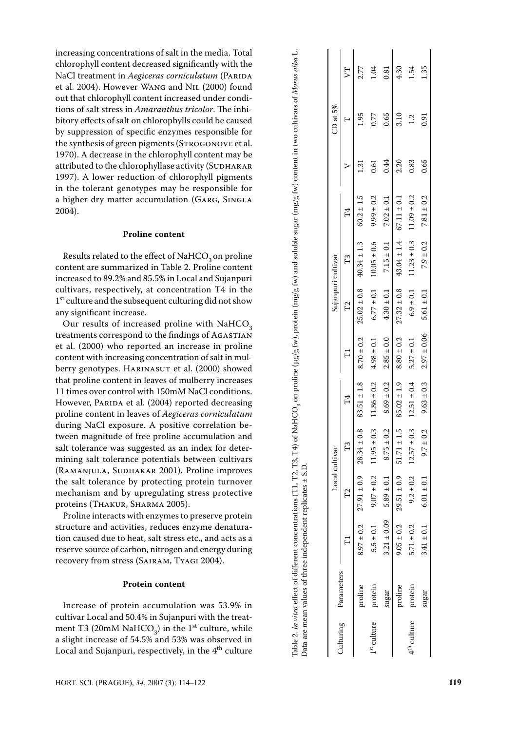increasing concentrations of salt in the media. Total chlorophyll content decreased significantly with the NaCl treatment in *Aegiceras corniculatum* (PARIDA et al. 2004). However Wang and Nil (2000) found out that chlorophyll content increased under condi tions of salt stress in *Amaranthus tricolor*. The inhibitory effects of salt on chlorophylls could be caused by suppression of specific enzymes responsible for the synthesis of green pigments (STROGONOVE et al. 1970). A decrease in the chlorophyll content may be attributed to the chlorophyllase activity (SUDHAKAR 1997). A lower reduction of chlorophyll pigments in the tolerant genotypes may be responsible for a higher dry matter accumulation (GARG, SINGLA 2004).

# **Proline content**

Results related to the effect of NaHCO<sub>3</sub> on proline content are summarized in Table 2. Proline content increased to 89.2% and 85.5% in Local and Sujanpuri cultivars, respectively, at concentration T4 in the  $1<sup>st</sup>$  culture and the subsequent culturing did not show any significant increase.

Our results of increased proline with  $NAHCO<sub>3</sub>$ treatments correspond to the findings of AGASTIAN et al. (2000) who reported an increase in proline content with increasing concentration of salt in mul berry genotypes. HARINASUT et al. (2000) showed that proline content in leaves of mulberry increases 11 times over control with 150mM NaCl conditions. However, PARIDA et al. (2004) reported decreasing proline content in leaves of *Aegiceras corniculatum* during NaCl exposure. A positive correlation be tween magnitude of free proline accumulation and salt tolerance was suggested as an index for deter mining salt tolerance potentials between cultivars (RAMANJULA, SUDHAKAR 2001). Proline improves the salt tolerance by protecting protein turnover mechanism and by upregulating stress protective proteins (THAKUR, SHARMA 2005).

Proline interacts with enzymes to preserve protein structure and activities, reduces enzyme denatura tion caused due to heat, salt stress etc., and acts as a reserve source of carbon, nitrogen and energy during recovery from stress (Sairam, Tyagi 2004).

# **Protein content**

Increase of protein accumulation was 53.9% in cultivar Local and 50.4% in Sujanpuri with the treat ment T3 (20mM NaHCO<sub>3</sub>) in the 1<sup>st</sup> culture, while a slight increase of 54.5% and 53% was observed in Local and Sujanpuri, respectively, in the  $4<sup>th</sup>$  culture

|                         |                      |                 | Local cultivar                                 |                  |                 |                 | Sujanpuri cultivar |                 |                 |       | CD at 5% |      |
|-------------------------|----------------------|-----------------|------------------------------------------------|------------------|-----------------|-----------------|--------------------|-----------------|-----------------|-------|----------|------|
|                         | Culturing Parameters |                 | $\mathbb{Z}$                                   | T <sub>3</sub>   |                 |                 | P                  | F3              |                 |       |          | 5T   |
|                         | proline              |                 | $8.97 \pm 0.2$ $27.91 \pm 0.9$ $28.34 \pm 0.8$ |                  | $83.51 \pm 1.8$ | $8.70 \pm 0.2$  | $25.02 \pm 0.8$    | $40.34 \pm 1.3$ | $60.2 \pm 1.5$  | $\Xi$ | 1.95     | 2.77 |
| [ <sup>st</sup> culture | protein              |                 | $5.5 \pm 0.1$ 9.07 $\pm$ 0.2                   | $11.95\pm0.3$    | $11.86 \pm 0.2$ | $4.98 \pm 0.1$  | $6.77 \pm 0.1$     | $10.05 \pm 0.6$ | $9.99 \pm 0.2$  | 0.61  | 0.77     | 1.04 |
|                         | $s$ ugar             | $3.21 \pm 0.09$ | $5.89 \pm 0.1$                                 | $8.75 \pm 0.2$   | $8.69 \pm 0.2$  | $2.85 \pm 0.0$  | $4.30 \pm 0.1$     | $7.15\pm0.1$    | $7.02 \pm 0.1$  | 0.44  | 0.65     | 0.81 |
|                         | proline              |                 | $9.05 \pm 0.2$ $29.51 \pm 0.9$ $51.71 \pm 1.5$ |                  | $85.02 \pm 1.9$ | $8.80 \pm 0.2$  | $27.32 \pm 0.8$    | $43.04 \pm 1.4$ | $67.11 \pm 0.1$ | 2.20  | 3.10     | 4.30 |
| $4th$ culture           | protein              | $5.71 \pm 0.2$  | $9.2 \pm 0.2$                                  | $12.57 \pm 0.3$  | $12.51 \pm 0.4$ | $5.27 \pm 0.1$  | $6.9 \pm 0.1$      | $11.23 \pm 0.3$ | $11.09 \pm 0.2$ | 0.83  | 12       | 1.54 |
|                         | sugar                | $3.41 \pm 0.1$  | $6.01 \pm 0.1$                                 | 0.2<br>$9.7 \pm$ | $9.63 \pm 0.3$  | $2.97 \pm 0.06$ | $5.61 \pm 0.1$     | $7.9 \pm 0.2$   | $7.81 \pm 0.2$  | 0.65  | 0.91     | 1.35 |

Table 2. *In vitro* effect of different concentrations (T1, T2, T3, T4) of NaHCO<sub>3</sub> on proline (µg/g fw), protein (mg/g fw) and soluble sugar (mg/g fw) content in two cultivars of *Morus alba* L.

Table 2. In vitro effect of different concentrations (T1, T2, T3, T4) of NaHCO<sub>3</sub> on proline (µg/g fw), protein (mg/g fw) and soluble sugar (mg/g fw) content in two cultivars of Morus alba L.

Data are mean values of three independent replicates ± S.D.

Data are mean values of three independent replicates ± S.D.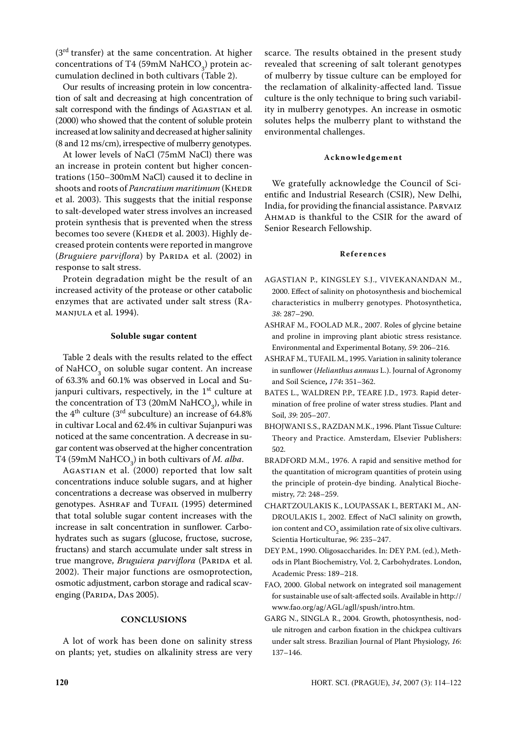$(3<sup>rd</sup> transfer)$  at the same concentration. At higher concentrations of T4 (59mM NaHCO<sub>3</sub>) protein accumulation declined in both cultivars (Table 2).

Our results of increasing protein in low concentration of salt and decreasing at high concentration of salt correspond with the findings of AGASTIAN et al. (2000) who showed that the content of soluble protein increased at low salinity and decreased at higher salinity (8 and 12 ms/cm), irrespective of mulberry genotypes.

At lower levels of NaCl (75mM NaCl) there was an increase in protein content but higher concentrations (150–300mM NaCl) caused it to decline in shoots and roots of *Pancratium maritimum* (KHEDR et al. 2003). This suggests that the initial response to salt-developed water stress involves an increased protein synthesis that is prevented when the stress becomes too severe (KHEDR et al. 2003). Highly decreased protein contents were reported in mangrove (*Bruguiere parviflora*) by PARIDA et al. (2002) in response to salt stress.

Protein degradation might be the result of an increased activity of the protease or other catabolic enzymes that are activated under salt stress (Ramanjula et al. 1994).

# **Soluble sugar content**

Table 2 deals with the results related to the effect of NaHCO<sub>3</sub> on soluble sugar content. An increase of 63.3% and 60.1% was observed in Local and Sujanpuri cultivars, respectively, in the  $1<sup>st</sup>$  culture at the concentration of T3 (20mM NaHCO<sub>3</sub>), while in the  $4<sup>th</sup>$  culture (3<sup>rd</sup> subculture) an increase of 64.8% in cultivar Local and 62.4% in cultivar Sujanpuri was noticed at the same concentration. A decrease in sugar content was observed at the higher concentration T4 (59mM NaHCO<sub>3</sub>) in both cultivars of *M. alba*.

Agastian et al. (2000) reported that low salt concentrations induce soluble sugars, and at higher concentrations a decrease was observed in mulberry genotypes. ASHRAF and TUFAIL (1995) determined that total soluble sugar content increases with the increase in salt concentration in sunflower. Carbohydrates such as sugars (glucose, fructose, sucrose, fructans) and starch accumulate under salt stress in true mangrove, *Bruguiera parviflora* (PARIDA et al. 2002). Their major functions are osmoprotection, osmotic adjustment, carbon storage and radical scavenging (PARIDA, DAS 2005).

#### **CONCLUSIONS**

A lot of work has been done on salinity stress on plants; yet, studies on alkalinity stress are very

scarce. The results obtained in the present study revealed that screening of salt tolerant genotypes of mulberry by tissue culture can be employed for the reclamation of alkalinity-affected land. Tissue culture is the only technique to bring such variability in mulberry genotypes. An increase in osmotic solutes helps the mulberry plant to withstand the environmental challenges.

#### **Ac k n o w l e d g e m e n t**

We gratefully acknowledge the Council of Scientific and Industrial Research (CSIR), New Delhi, India, for providing the financial assistance. Parvaiz Ahmad is thankful to the CSIR for the award of Senior Research Fellowship.

# **R e f e r e n c e s**

- AGASTIAN P., KINGSLEY S.J., VIVEKANANDAN M., 2000. Effect of salinity on photosynthesis and biochemical characteristics in mulberry genotypes. Photosynthetica, *38*: 287–290.
- ASHRAF M., FOOLAD M.R., 2007. Roles of glycine betaine and proline in improving plant abiotic stress resistance. Environmental and Experimental Botany, *59*: 206–216.
- ASHRAF M., TUFAIL M., 1995. Variation in salinity tolerance in sunflower (*Helianthus annuus* L.). Journal of Agronomy and Soil Science**,** *174***:** 351–362.
- BATES L., WALDREN P.P., TEARE J.D., 1973. Rapid determination of free proline of water stress studies. Plant and Soil, *39*: 205–207.
- BHOJWANI S.S., RAZDAN M.K., 1996. Plant Tissue Culture: Theory and Practice. Amsterdam, Elsevier Publishers: 502.
- BRADFORD M.M., 1976. A rapid and sensitive method for the quantitation of microgram quantities of protein using the principle of protein-dye binding. Analytical Biochemistry, *72*: 248–259.
- CHARTZOULAKIS K., LOUPASSAK I., BERTAKI M., AN-DROULAKIS I., 2002. Effect of NaCl salinity on growth, ion content and  $\mathrm{CO}_2$  assimilation rate of six olive cultivars. Scientia Horticulturae, *96*: 235–247.
- DEY P.M., 1990. Oligosaccharides. In: Dey P.M. (ed.), Methods in Plant Biochemistry, Vol. 2, Carbohydrates. London, Academic Press: 189–218.
- FAO, 2000. Global network on integrated soil management for sustainable use of salt-affected soils. Available in http:// www.fao.org/ag/AGL/agll/spush/intro.htm.
- GARG N., SINGLA R., 2004. Growth, photosynthesis, nodule nitrogen and carbon fixation in the chickpea cultivars under salt stress. Brazilian Journal of Plant Physiology, *16*: 137–146.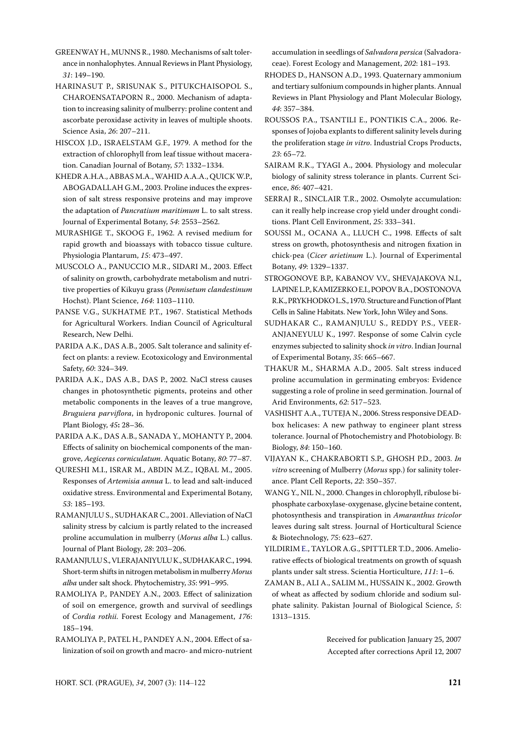GREENWAY H., MUNNS R., 1980. Mechanisms of salt tolerance in nonhalophytes. Annual Reviews in Plant Physiology, *31*: 149–190.

HARINASUT P., SRISUNAK S., PITUKCHAISOPOL S., CHAROENSATAPORN R., 2000. Mechanism of adaptation to increasing salinity of mulberry: proline content and ascorbate peroxidase activity in leaves of multiple shoots. Science Asia, *26*: 207–211.

HISCOX J.D., ISRAELSTAM G.F., 1979. A method for the extraction of chlorophyll from leaf tissue without maceration. Canadian Journal of Botany, *57*: 1332–1334.

KHEDR A.H.A., ABBAS M.A., WAHID A.A.A., QUICK W.P., ABOGADALLAH G.M., 2003. Proline induces the expression of salt stress responsive proteins and may improve the adaptation of *Pancratium maritimum* L. to salt stress. Journal of Experimental Botany, *54*: 2553–2562.

MURASHIGE T., SKOOG F., 1962. A revised medium for rapid growth and bioassays with tobacco tissue culture. Physiologia Plantarum, *15*: 473–497.

MUSCOLO A., PANUCCIO M.R., SIDARI M., 2003. Effect of salinity on growth, carbohydrate metabolism and nutritive properties of Kikuyu grass (*Pennisetum clandestinum*  Hochst). Plant Science, *164*: 1103–1110.

PANSE V.G., SUKHATME P.T., 1967. Statistical Methods for Agricultural Workers. Indian Council of Agricultural Research, New Delhi.

PARIDA A.K., DAS A.B., 2005. Salt tolerance and salinity effect on plants: a review. Ecotoxicology and Environmental Safety, *60*: 324–349.

PARIDA A.K., DAS A.B., DAS P., 2002. NaCl stress causes changes in photosynthetic pigments, proteins and other metabolic components in the leaves of a true mangrove, *Bruguiera parviflora*, in hydroponic cultures. Journal of Plant Biology, *45***:** 28–36.

PARIDA A.K., DAS A.B., SANADA Y., MOHANTY P., 2004. Effects of salinity on biochemical components of the mangrove, *Aegiceras corniculatum*. Aquatic Botany, *80*: 77–87.

QURESHI M.I., ISRAR M., ABDIN M.Z., IQBAL M., 2005. Responses of *Artemisia annua* L. to lead and salt-induced oxidative stress. Environmental and Experimental Botany, *53*: 185–193.

RAMANJULU S., SUDHAKAR C., 2001. Alleviation of NaCl salinity stress by calcium is partly related to the increased proline accumulation in mulberry (*Morus alba* L.) callus. Journal of Plant Biology, *28*: 203–206.

RAMANJULU S., VLERAJANIYULU K., SUDHAKAR C., 1994. Short-term shifts in nitrogen metabolism in mulberry *Morus alba* under salt shock. Phytochemistry, *35*: 991–995.

RAMOLIYA P., PANDEY A.N., 2003. Effect of salinization of soil on emergence, growth and survival of seedlings of *Cordia rothii.* Forest Ecology and Management, *176*: 185–194.

RAMOLIYA P., PATEL H., PANDEY A.N., 2004. Effect of salinization of soil on growth and macro- and micro-nutrient accumulation in seedlings of *Salvadora persica* (Salvadoraceae). Forest Ecology and Management, *202*: 181–193.

RHODES D., HANSON A.D., 1993. Quaternary ammonium and tertiary sulfonium compounds in higher plants. Annual Reviews in Plant Physiology and Plant Molecular Biology, *44*: 357–384.

ROUSSOS P.A., TSANTILI E., PONTIKIS C.A., 2006. Responses of Jojoba explants to different salinity levels during the proliferation stage *in vitro*. Industrial Crops Products, *23*: 65–72.

SAIRAM R.K., TYAGI A., 2004. Physiology and molecular biology of salinity stress tolerance in plants. Current Science, *86*: 407–421.

SERRAJ R., SINCLAIR T.R., 2002. Osmolyte accumulation: can it really help increase crop yield under drought conditions. Plant Cell Environment, *25*: 333–341.

SOUSSI M., OCANA A., LLUCH C., 1998. Effects of salt stress on growth, photosynthesis and nitrogen fixation in chick-pea (*Cicer arietinum* L.). Journal of Experimental Botany, *49*: 1329–1337.

STROGONOVE B.P., KABANOV V.V., SHEVAJAKOVA N.I., LAPINE L.P., KAMIZERKO E.I., POPOV B.A., DOSTONOVA R.K., PRYKHODKO L.S., 1970. Structure and Function of Plant Cells in Saline Habitats. New York, John Wiley and Sons.

SUDHAKAR C., RAMANJULU S., REDDY P.S., VEER-ANJANEYULU K., 1997. Response of some Calvin cycle enzymes subjected to salinity shock *in vitro*. Indian Journal of Experimental Botany, *35*: 665–667.

THAKUR M., SHARMA A.D., 2005. Salt stress induced proline accumulation in germinating embryos: Evidence suggesting a role of proline in seed germination. Journal of Arid Environments, *62*: 517–523.

VASHISHT A.A., TUTEJA N., 2006. Stress responsive DEADbox helicases: A new pathway to engineer plant stress tolerance. Journal of Photochemistry and Photobiology. B: Biology, *84*: 150–160.

VIJAYAN K., CHAKRABORTI S.P., GHOSH P.D., 2003. *In vitro* screening of Mulberry (*Morus* spp.) for salinity tolerance. Plant Cell Reports, *22*: 350–357.

WANG Y., NIL N., 2000. Changes in chlorophyll, ribulose biphosphate carboxylase-oxygenase, glycine betaine content, photosynthesis and transpiration in *Amaranthus tricolor* leaves during salt stress. Journal of Horticultural Science & Biotechnology, *75*: 623–627.

YILDIRIM E., TAYLOR A.G., SPITTLER T.D., 2006. Ameliorative effects of biological treatments on growth of squash plants under salt stress. Scientia Horticulture, *111*: 1–6.

ZAMAN B., ALI A., SALIM M., HUSSAIN K., 2002. Growth of wheat as affected by sodium chloride and sodium sulphate salinity. Pakistan Journal of Biological Science, *5*: 1313–1315.

> Received for publication January 25, 2007 Accepted after corrections April 12, 2007